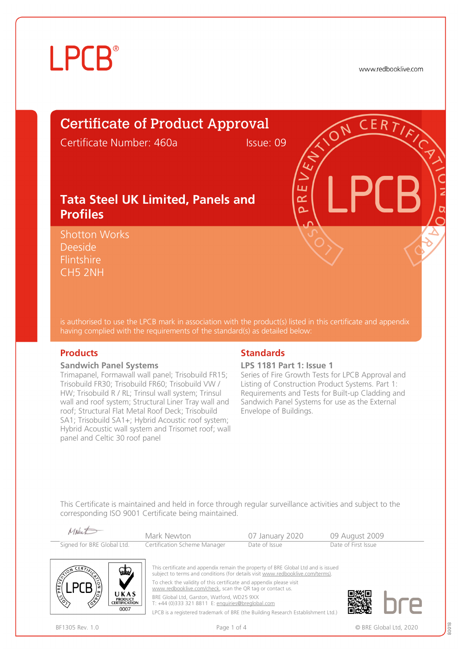# **LPCB**

www.redbooklive.com

# Certificate of Product Approval

Certificate Number: 460a Issue: 09

ய œ Ò

### **Tata Steel UK Limited, Panels and Profiles**

Shotton Works Deeside **Flintshire** CH5 2NH

is authorised to use the LPCB mark in association with the product(s) listed in this certificate and appendix having complied with the requirements of the standard(s) as detailed below:

#### **Sandwich Panel Systems**

Trimapanel, Formawall wall panel; Trisobuild FR15; Trisobuild FR30; Trisobuild FR60; Trisobuild VW / HW; Trisobuild R / RL; Trinsul wall system; Trinsul wall and roof system; Structural Liner Tray wall and roof; Structural Flat Metal Roof Deck; Trisobuild SA1; Trisobuild SA1+; Hybrid Acoustic roof system; Hybrid Acoustic wall system and Trisomet roof; wall panel and Celtic 30 roof panel

### **Products** Standards **Standards**

#### **LPS 1181 Part 1: Issue 1**

Series of Fire Growth Tests for LPCB Approval and Listing of Construction Product Systems. Part 1: Requirements and Tests for Built-up Cladding and Sandwich Panel Systems for use as the External Envelope of Buildings.

This Certificate is maintained and held in force through regular surveillance activities and subject to the corresponding ISO 9001 Certificate being maintained.



LPCB is a registered trademark of BRE (the Building Research Establishment Ltd.)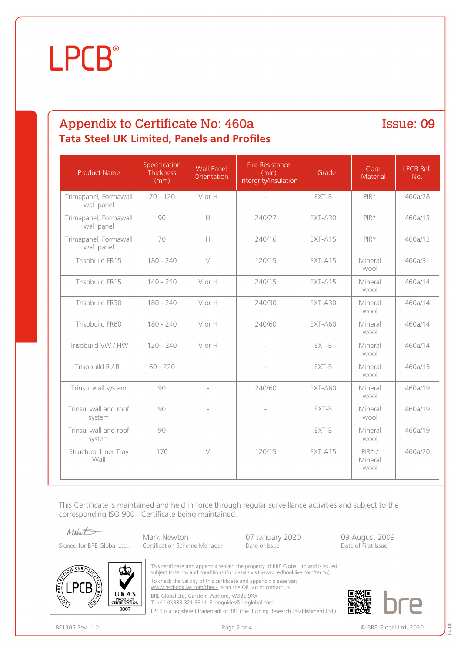# **LPCB**<sup>®</sup>

## Appendix to Certificate No: 460a Issue: 09 **Tata Steel UK Limited, Panels and Profiles**

| <b>Product Name</b>                 | Specification<br><b>Thickness</b><br>(mm) | <b>Wall Panel</b><br>Orientation | <b>Fire Resistance</b><br>(min)<br>Intergrity/Insulation | Grade     | Core<br>Material            | LPCB Ref.<br>No. |
|-------------------------------------|-------------------------------------------|----------------------------------|----------------------------------------------------------|-----------|-----------------------------|------------------|
| Trimapanel, Formawall<br>wall panel | $70 - 120$                                | V or H                           | $\overline{\phantom{a}}$                                 | EXT-B     | $PIR*$                      | 460a/28          |
| Trimapanel, Formawall<br>wall panel | 90                                        | $\mathbb H$                      | 240/27                                                   | EXT-A30   | $PIR*$                      | 460a/13          |
| Trimapanel, Formawall<br>wall panel | 70                                        | $\mathsf{H}$                     | 240/16                                                   | EXT-A15   | $PIR*$                      | 460a/13          |
| Trisobuild FR15                     | 180 - 240                                 | $\vee$                           | 120/15                                                   | EXT-A15   | Mineral<br>wool             | 460a/31          |
| Trisobuild FR15                     | $140 - 240$                               | V or H                           | 240/15                                                   | EXT-A15   | Mineral<br>wool             | 460a/14          |
| Trisobuild FR30                     | $180 - 240$                               | V or H                           | 240/30                                                   | EXT-A30   | Mineral<br>wool             | 460a/14          |
| Trisobuild FR60                     | $180 - 240$                               | V or H                           | 240/60                                                   | $EXT-AGO$ | Mineral<br>wool             | 460a/14          |
| Trisobuild VW / HW                  | $120 - 240$                               | V or H                           | $\overline{\phantom{0}}$                                 | EXT-B     | Mineral<br>wool             | 460a/14          |
| Trisobuild R / RL                   | $60 - 220$                                | $\overline{\phantom{a}}$         | $\overline{\phantom{a}}$                                 | EXT-B     | Mineral<br>wool             | 460a/15          |
| Trinsul wall system                 | 90                                        | $\overline{a}$                   | 240/60                                                   | $EXT-AGO$ | Mineral<br>wool             | 460a/19          |
| Trinsul wall and roof<br>system     | 90                                        | $\bar{ }$                        | $\overline{a}$                                           | EXT-B     | Mineral<br>wool             | 460a/19          |
| Trinsul wall and roof<br>system     | 90                                        | $\overline{\phantom{0}}$         |                                                          | EXT-B     | Mineral<br>wool             | 460a/19          |
| Structural Liner Tray<br>Wall       | 170                                       | $\vee$                           | 120/15                                                   | EXT-A15   | $PIR* /$<br>Mineral<br>wool | 460a/20          |

This Certificate is maintained and held in force through regular surveillance activities and subject to the corresponding ISO 9001 Certificate being maintained.

| Makent                    | Mark Newton                  | 07 January 2020                                                                   | 09 August 2009      |  |
|---------------------------|------------------------------|-----------------------------------------------------------------------------------|---------------------|--|
| Signed for BRE Global Ltd | Certification Scheme Manager | Date of Issue                                                                     | Date of First Issue |  |
|                           |                              |                                                                                   |                     |  |
| سقہ<br>CFR                |                              | This certificate and appendix remain the property of BRE Global Ltd and is issued |                     |  |

subject to terms and conditions (for details visit [www.redbooklive.com/terms\)](http://www.redbooklive.com/terms)).

To check the validity of this certificate and appendix please visit [www.redbooklive.com/check,](http://www.redbooklive.com/check) scan the QR tag or contact us.

BRE Global Ltd, Garston, Watford, WD25 9XX T: +44 (0)333 321 8811 E: [enquiries@breglobal.com](mailto:enquiries@breglobal.com)

LPCB is a registered trademark of BRE (the Building Research Establishment Ltd.)

UKAS PRODUCT<br>CERTIFICATION  $0007$ 



80018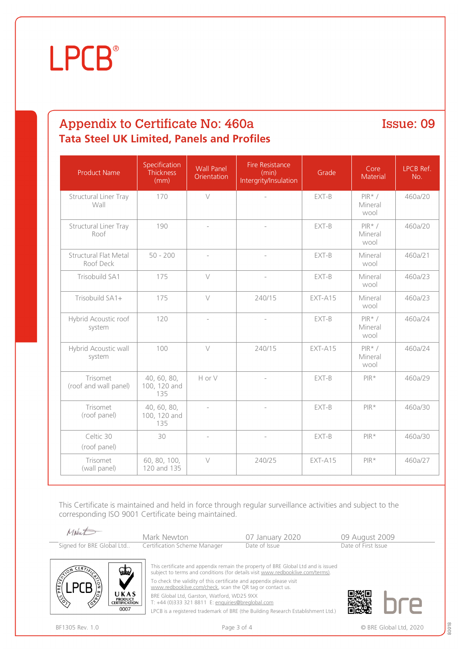# **LPCB**<sup>®</sup>

## Appendix to Certificate No: 460a Issue: 09 **Tata Steel UK Limited, Panels and Profiles**

| <b>Product Name</b>                       | Specification<br><b>Thickness</b><br>(mm) | <b>Wall Panel</b><br>Orientation | <b>Fire Resistance</b><br>(min)<br>Intergrity/Insulation | Grade   | Core<br>Material            | LPCB Ref.<br>No. |
|-------------------------------------------|-------------------------------------------|----------------------------------|----------------------------------------------------------|---------|-----------------------------|------------------|
| Structural Liner Tray<br>Wall             | 170                                       | $\vee$                           | $\overline{\phantom{a}}$                                 | EXT-B   | $PIR* /$<br>Mineral<br>wool | 460a/20          |
| Structural Liner Tray<br>Roof             | 190                                       | $\overline{\phantom{a}}$         | $\overline{\phantom{a}}$                                 | EXT-B   | $PIR* /$<br>Mineral<br>wool | 460a/20          |
| <b>Structural Flat Metal</b><br>Roof Deck | $50 - 200$                                | $\overline{\phantom{a}}$         |                                                          | EXT-B   | Mineral<br>wool             | 460a/21          |
| Trisobuild SA1                            | 175                                       | $\vee$                           | $\qquad \qquad -$                                        | EXT-B   | Mineral<br>wool             | 460a/23          |
| Trisobuild SA1+                           | 175                                       | $\vee$                           | 240/15                                                   | EXT-A15 | Mineral<br>wool             | 460a/23          |
| Hybrid Acoustic roof<br>system            | 120                                       | $\overline{a}$                   | $\overline{a}$                                           | EXT-B   | $PIR* /$<br>Mineral<br>wool | 460a/24          |
| Hybrid Acoustic wall<br>system            | 100                                       | $\vee$                           | 240/15                                                   | EXT-A15 | $PIR* /$<br>Mineral<br>wool | 460a/24          |
| Trisomet<br>(roof and wall panel)         | 40, 60, 80,<br>100, 120 and<br>135        | H or V                           | $\overline{\phantom{a}}$                                 | EXT-B   | $PIR*$                      | 460a/29          |
| Trisomet<br>(roof panel)                  | 40, 60, 80,<br>100, 120 and<br>135        | $\overline{\phantom{a}}$         | $\overline{\phantom{a}}$                                 | EXT-B   | $PIR*$                      | 460a/30          |
| Celtic 30<br>(roof panel)                 | 30                                        | $\overline{\phantom{a}}$         | $\overline{\phantom{a}}$                                 | EXT-B   | $PIR*$                      | 460a/30          |
| Trisomet<br>(wall panel)                  | 60, 80, 100,<br>120 and 135               | $\vee$                           | 240/25                                                   | EXT-A15 | PIR*                        | 460a/27          |

This Certificate is maintained and held in force through regular surveillance activities and subject to the corresponding ISO 9001 Certificate being maintained.

| Makent                    | Mark Newton                  | 07 January 2020 | 09 August 2009      |
|---------------------------|------------------------------|-----------------|---------------------|
| Signed for BRE Global Ltd | Certification Scheme Manager | Date of Issue   | Date of First Issue |
|                           |                              |                 |                     |



[www.redbooklive.com/check,](http://www.redbooklive.com/check) scan the QR tag or contact us.

BRE Global Ltd, Garston, Watford, WD25 9XX

T: +44 (0)333 321 8811 E: [enquiries@breglobal.com](mailto:enquiries@breglobal.com)

LPCB is a registered trademark of BRE (the Building Research Establishment Ltd.)

UKAS PRODUCT<br>CERTIFICATION  $0007$ 



80018